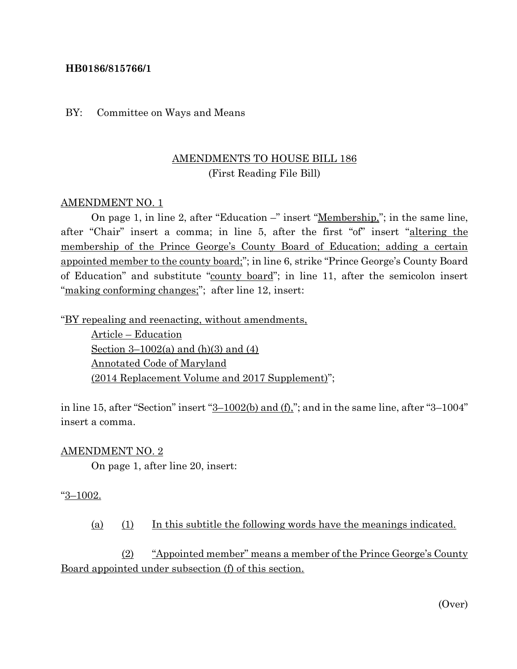## **HB0186/815766/1**

#### BY: Committee on Ways and Means

# AMENDMENTS TO HOUSE BILL 186 (First Reading File Bill)

## AMENDMENT NO. 1

On page 1, in line 2, after "Education –" insert "<u>Membership</u>,"; in the same line, after "Chair" insert a comma; in line 5, after the first "of" insert "altering the membership of the Prince George's County Board of Education; adding a certain appointed member to the county board;"; in line 6, strike "Prince George's County Board of Education" and substitute "county board"; in line 11, after the semicolon insert "making conforming changes;"; after line 12, insert:

"BY repealing and reenacting, without amendments,

Article – Education Section  $3-1002(a)$  and  $(h)(3)$  and  $(4)$ Annotated Code of Maryland (2014 Replacement Volume and 2017 Supplement)";

in line 15, after "Section" insert  $3-1002(b)$  and  $(f)$ ,"; and in the same line, after "3-1004" insert a comma.

#### AMENDMENT NO. 2

On page 1, after line 20, insert:

#### $\frac{3-1002}{.}$

(a) (1) In this subtitle the following words have the meanings indicated.

(2) "Appointed member" means a member of the Prince George's County Board appointed under subsection (f) of this section.

(Over)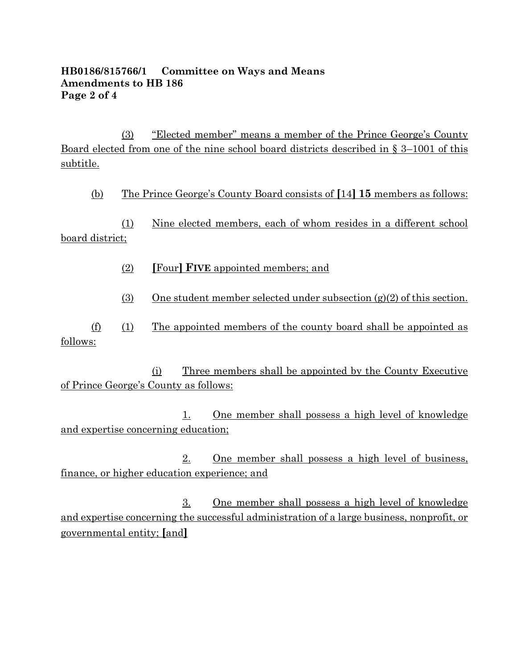## **HB0186/815766/1 Committee on Ways and Means Amendments to HB 186 Page 2 of 4**

(3) "Elected member" means a member of the Prince George's County Board elected from one of the nine school board districts described in § 3–1001 of this subtitle.

(b) The Prince George's County Board consists of **[**14**] 15** members as follows:

(1) Nine elected members, each of whom resides in a different school board district;

- (2) **[**Four**] FIVE** appointed members; and
- (3) One student member selected under subsection  $(g)(2)$  of this section.

(f) (1) The appointed members of the county board shall be appointed as follows:

(i) Three members shall be appointed by the County Executive of Prince George's County as follows:

1. One member shall possess a high level of knowledge and expertise concerning education;

2. One member shall possess a high level of business, finance, or higher education experience; and

3. One member shall possess a high level of knowledge and expertise concerning the successful administration of a large business, nonprofit, or governmental entity; **[**and**]**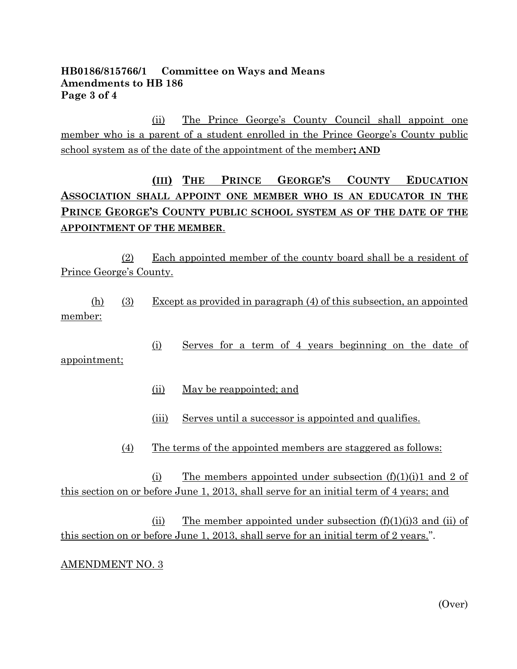## **HB0186/815766/1 Committee on Ways and Means Amendments to HB 186 Page 3 of 4**

(ii) The Prince George's County Council shall appoint one member who is a parent of a student enrolled in the Prince George's County public school system as of the date of the appointment of the member**; AND**

# **(III) THE PRINCE GEORGE'S COUNTY EDUCATION ASSOCIATION SHALL APPOINT ONE MEMBER WHO IS AN EDUCATOR IN THE PRINCE GEORGE'S COUNTY PUBLIC SCHOOL SYSTEM AS OF THE DATE OF THE APPOINTMENT OF THE MEMBER**.

(2) Each appointed member of the county board shall be a resident of Prince George's County.

(h) (3) Except as provided in paragraph (4) of this subsection, an appointed member:

(i) Serves for a term of 4 years beginning on the date of appointment;

(ii) May be reappointed; and

(iii) Serves until a successor is appointed and qualifies.

(4) The terms of the appointed members are staggered as follows:

(i) The members appointed under subsection  $(f)(1)(i)1$  and 2 of this section on or before June 1, 2013, shall serve for an initial term of 4 years; and

(ii) The member appointed under subsection  $(f)(1)(i)$  and (ii) of this section on or before June 1, 2013, shall serve for an initial term of 2 years.".

# AMENDMENT NO. 3

(Over)